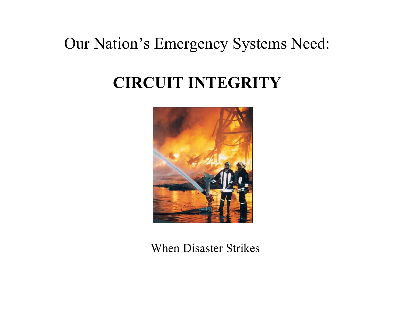# Our Nation's Emergency Systems Need:

# **CIRCUIT INTEGRITY**



When Disaster Strikes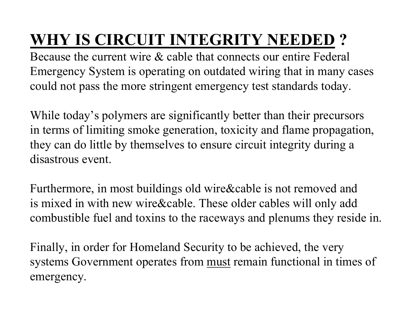# **WHY IS CIRCUIT INTEGRITY NEEDED ?**

Because the current wire & cable that connects our entire Federal Emergency System is operating on outdated wiring that in many cases could not pass the more stringent emergency test standards today.

While today's polymers are significantly better than their precursors in terms of limiting smoke generation, toxicity and flame propagation, they can do little by themselves to ensure circuit integrity during a disastrous event.

Furthermore, in most buildings old wire&cable is not removed and is mixed in with new wire&cable. These older cables will only add combustible fuel and toxins to the raceways and plenums they reside in.

Finally, in order for Homeland Security to be achieved, the very systems Government operates from must remain functional in times of emergency.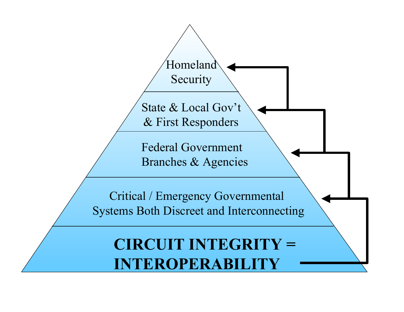State & Local Gov't & First Responders

Homeland

Security

Federal Government Branches & Agencies

Critical / Emergency Governmental Systems Both Discreet and Interconnecting

**CIRCUIT INTEGRITY = INTEROPERABILITY**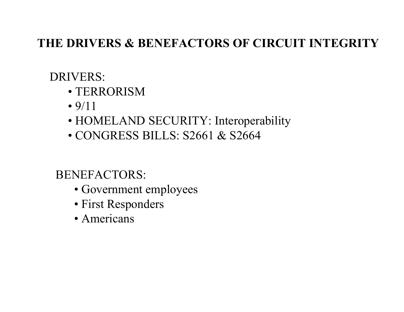#### **THE DRIVERS & BENEFACTORS OF CIRCUIT INTEGRITY**

#### DRIVERS:

- TERRORISM
- •9/11
- HOMELAND SECURITY: Interoperability
- CONGRESS BILLS: S2661 & S2664

#### BENEFACTORS:

- Government employees
- First Responders
- Americans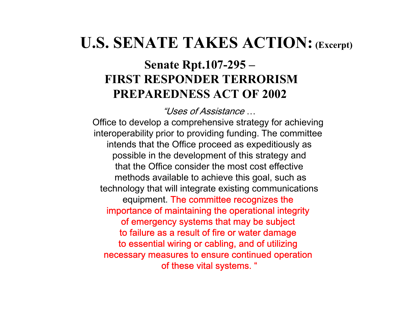# **U.S. SENATE TAKES ACTION:(Excerpt)**

#### **Senate Rpt.107-295 – FIRST RESPONDER TERRORISMPREPAREDNESS ACT OF 2002**

"Uses of Assistance…

Office to develop a comprehensive strategy for achieving interoperability prior to providing funding. The committee intends that the Office proceed as expeditiously as possible in the development of this strategy and that the Office consider the most cost effectivemethods available to achieve this goal, such as technology that will integrate existing communications equipment. The committee recognizes the importance of maintaining the operational integrity of emergency systems that may be subject to failure as a result of fire or water damage to essential wiring or cabling, and of utilizing necessary measures to ensure continued operation of these vital systems. "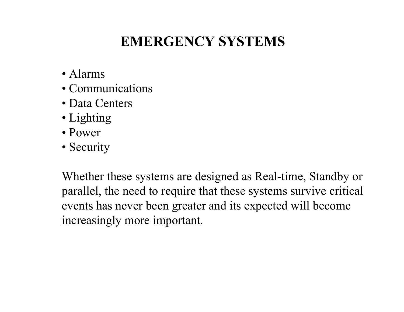## **EMERGENCY SYSTEMS**

- Alarms
- •Communications
- •Data Centers
- Lighting
- Power
- Security

Whether these systems are designed as Real-time, Standby or parallel, the need to require that these systems survive critical events has never been greater and its expected will become increasingly more important.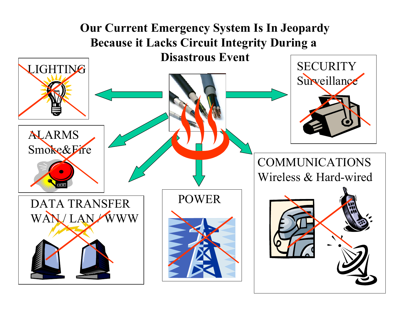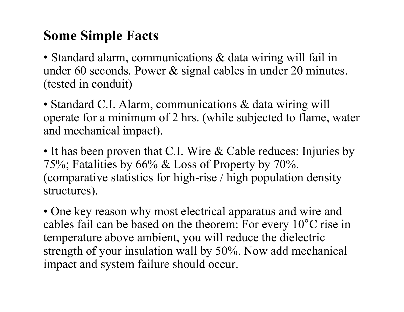## **Some Simple Facts**

• Standard alarm, communications & data wiring will fail in under 60 seconds. Power & signal cables in under 20 minutes. (tested in conduit)

• Standard C.I. Alarm, communications & data wiring will operate for a minimum of 2 hrs. (while subjected to flame, water and mechanical impact).

• It has been proven that C.I. Wire & Cable reduces: Injuries by 75%; Fatalities by 66% & Loss of Property by 70%. (comparative statistics for high-rise / high population density structures).

• One key reason why most electrical apparatus and wire and cables fail can be based on the theorem: For every 10°C rise in temperature above ambient, you will reduce the dielectric strength of your insulation wall by 50%. Now add mechanical impact and system failure should occur.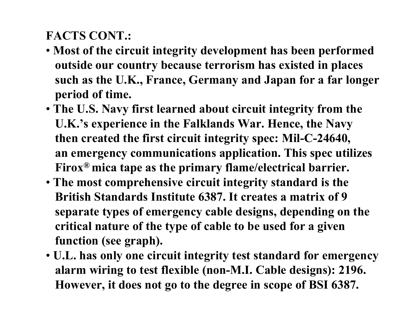#### **FACTS CONT.:**

- **Most of the circuit integrity development has been performed outside our country because terrorism has existed in places such as the U.K., France, Germany and Japan for a far longer period of time.**
- **The U.S. Navy first learned about circuit integrity from the U.K.'s experience in the Falklands War. Hence, the Navy then created the first circuit integrity spec: Mil-C-24640, an emergency communications application. This spec utilizes Firox® mica tape as the primary flame/electrical barrier.**
- **The most comprehensive circuit integrity standard is the British Standards Institute 6387. It creates a matrix of 9 separate types of emergency cable designs, depending on the critical nature of the type of cable to be used for a given function (see graph).**
- **U.L. has only one circuit integrity test standard for emergency alarm wiring to test flexible (non-M.I. Cable designs): 2196. However, it does not go to the degree in scope of BSI 6387.**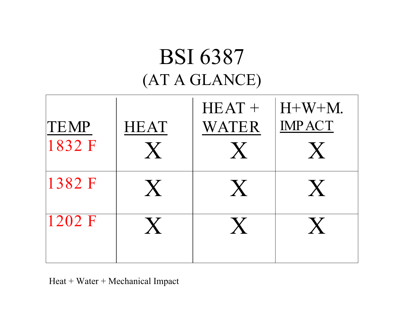# BSI 6387 (AT A GLANCE)

| <b>TEMP</b><br>1832 F | <b>HEAT</b><br>$\mathsf{X}$ | $HEAT +$<br>WATER | $H+W+M$ .<br><b>IMPACT</b><br>$\bm{X}$ |
|-----------------------|-----------------------------|-------------------|----------------------------------------|
| 1382 F                | $\boldsymbol{X}$            | $\boldsymbol{X}$  | $\boldsymbol{X}$                       |
| 1202 F                | X.                          |                   | $\mathbf{X}$                           |

Heat + Water + Mechanical Impact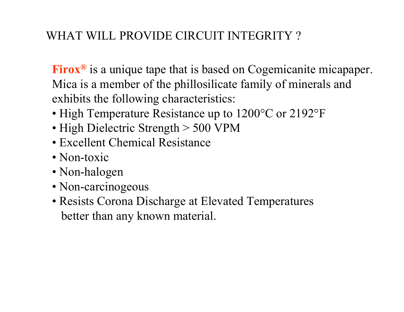#### WHAT WILL PROVIDE CIRCUIT INTEGRITY ?

**Firox** Mica is a member of the phillos ilicate family of minerals and **®** is a unique tape that is based on Cogemicanite micapaper. exhibits the following characteristics:

- High Temperature Resistance up to 1200°C or 2192°F
- High Dielectric Strength > 500 VPM
- Excellent Chemical Resistance
- Non-toxic
- Non-halogen
- Non-carcinogeous
- Resists Corona Discharge at Elevated Temperatures better than any known material.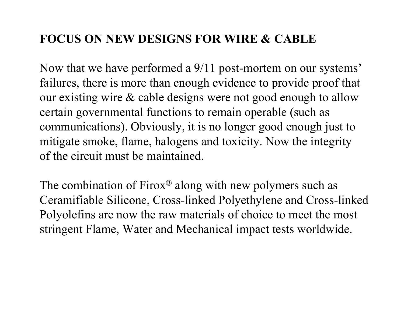#### **FOCUS ON NEW DESIGNS FOR WIRE & CABLE**

Now that we have performed a 9/11 post-mortem on our systems' failures, there is more than enough evidence to provide proof that our existing wire & cable designs were not good enough to allow certain governmental functions to remain operable (such as communications). Obviously, it is no longer good enough just to mitigate smoke, flame, halogens and toxicity. Now the integrity of the circuit must be maintained.

The combination of Firox <sup>®</sup> along with new polymers such as Ceramifiable Silicone, Cross-linked Polyethylene and Cross-linked Polyolefins are now the raw materials of choice to meet the most stringent Flame, Water and Mechanical impact tests worldwide.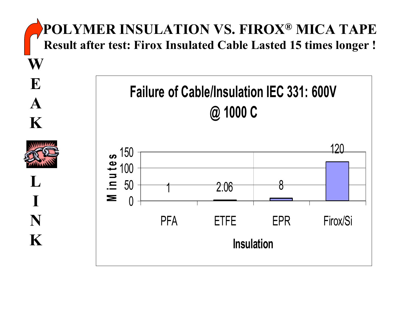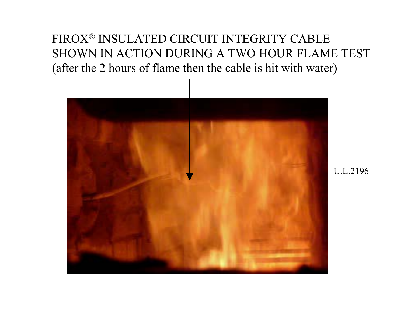#### FIROX® INSULATED CIRCUIT INTEGRITY CABLE SHOWN IN ACTION DURING A TWO HOUR FLAME TEST (after the 2 hours of flame then the cable is hit with water)



U.L.2196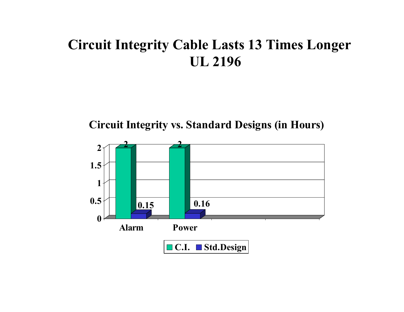## **Circuit Integrity Cable Lasts 13 Times Longe r UL 2196**

Circuit Integrity vs. Standard Designs (in Hours)

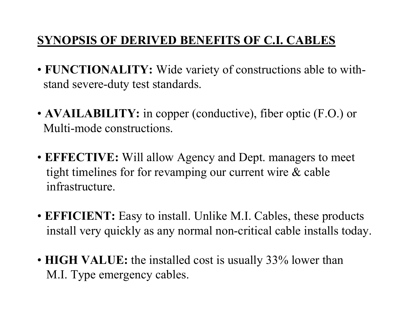#### **SYNOPSIS OF DERIVED BENEFITS OF C.I. CABLES**

- **FUNCTIONALITY:** Wide variety of constructions able to withstand severe-duty test standards.
- **AVAILABILITY:** in copper (conductive), fiber optic (F.O.) or Multi-mode constructions.
- **EFFECTIVE:** Will allow Agency and Dept. managers to meet tight timelines for for revamping our current wire & cable infrastructure.
- **EFFICIENT:** Easy to install. Unlike M.I. Cables, these products install very quickly as any normal non-critical cable installs today.
- **HIGH VALUE:** the installed cost is usually 33% lower than M.I. Type emergency cables.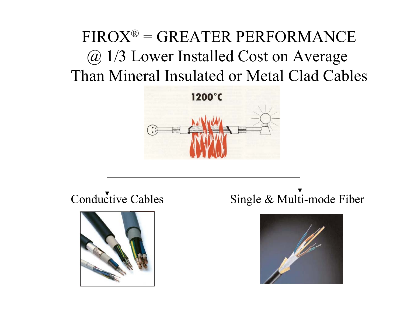# FIROX® = GREATER PERFORMANCE @ 1/3 Lower Installed Cost on Average Than Mineral Insulated or Metal Clad Cables

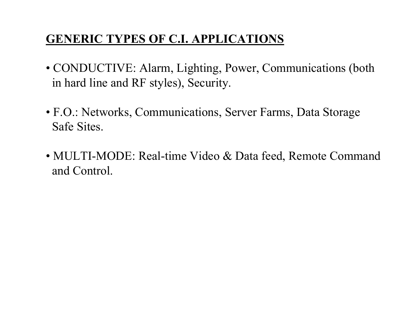#### **GENERIC TYPES OF C.I. APPLICATIONS**

- CONDUCTIVE: Alarm, Lighting, Power, Communications (both in hard line and RF styles), Security.
- F.O.: Networks, Communications, Server Farms, Data Storage Safe Sites.
- MULTI-MODE: Real-time Video & Data feed, Remote Command and Control.